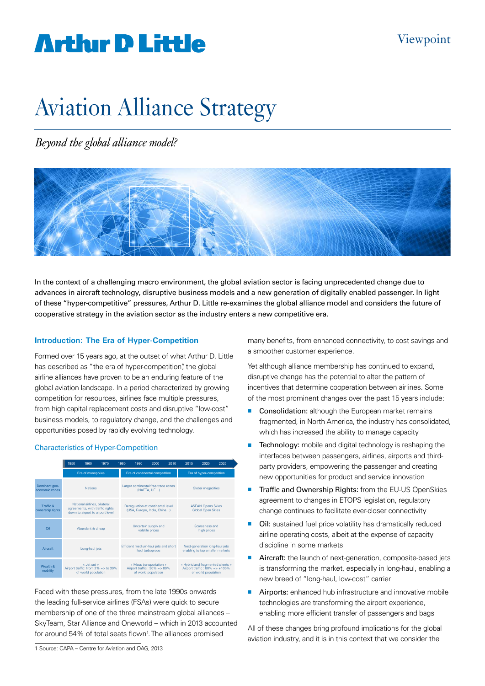# **Artlur D Little**

# Aviation Alliance Strategy

### *Beyond the global alliance model?*



In the context of a challenging macro environment, the global aviation sector is facing unprecedented change due to advances in aircraft technology, disruptive business models and a new generation of digitally enabled passenger. In light of these "hyper-competitive" pressures, Arthur D. Little re-examines the global alliance model and considers the future of cooperative strategy in the aviation sector as the industry enters a new competitive era.

#### **Introduction: The Era of Hyper-Competition**

Formed over 15 years ago, at the outset of what Arthur D. Little has described as "the era of hyper-competition", the global airline alliances have proven to be an enduring feature of the global aviation landscape. In a period characterized by growing competition for resources, airlines face multiple pressures, from high capital replacement costs and disruptive "low-cost" business models, to regulatory change, and the challenges and opportunities posed by rapidly evolving technology.

#### Characteristics of Hyper-Competition

|                                 | 1950                                                                                                | 1960 | 1970 | 1980 | 1990                                                                             | 2000 | 2010 | 2015 | 2020                                                                                           | 2025 |  |
|---------------------------------|-----------------------------------------------------------------------------------------------------|------|------|------|----------------------------------------------------------------------------------|------|------|------|------------------------------------------------------------------------------------------------|------|--|
|                                 | Era of monopolies                                                                                   |      |      |      | Era of continental competition                                                   |      |      |      | Era of hyper-competition                                                                       |      |  |
| Dominant geo-<br>economic zones | <b>Nations</b>                                                                                      |      |      |      | Larger continental free-trade zones<br>(NAFTA, UE)                               |      |      |      | Global megacities                                                                              |      |  |
| Traffic &<br>ownership rights   | National airlines, bilateral<br>agreements, with traffic rights<br>down to airport to airport level |      |      |      | Deregulation at continental level<br>(USA, Europe, India, China)                 |      |      |      | <b>ASEAN Opens Skies</b><br>Global Open Skies                                                  |      |  |
| Oil                             | Abundant & cheap                                                                                    |      |      |      | Uncertain supply and<br>volatile prices                                          |      |      |      | Scarceness and<br>high prices                                                                  |      |  |
| Aircraft                        | Long-haul jets                                                                                      |      |      |      | Efficient medium-haul jets and short<br>haul turboprops                          |      |      |      | Next-generation long-haul jets<br>enabling to tap smaller markets                              |      |  |
| Wealth &<br>mobility            | « Jet set »<br>Airport traffic: from $2\% = >$ to $30\%$<br>of world population                     |      |      |      | « Mass transportation »<br>Airport traffic: $30\% = 80\%$<br>of world population |      |      |      | « Hybrid and fragmented clients »<br>Airport traffic: $80\% = > +100\%$<br>of world population |      |  |

Faced with these pressures, from the late 1990s onwards the leading full-service airlines (FSAs) were quick to secure membership of one of the three mainstream global alliances – SkyTeam, Star Alliance and Oneworld – which in 2013 accounted for around 54% of total seats flown<sup>1</sup>. The alliances promised

1 Source: CAPA – Centre for Aviation and OAG, 2013

many benefits, from enhanced connectivity, to cost savings and a smoother customer experience.

Yet although alliance membership has continued to expand, disruptive change has the potential to alter the pattern of incentives that determine cooperation between airlines. Some of the most prominent changes over the past 15 years include:

- Consolidation: although the European market remains fragmented, in North America, the industry has consolidated, which has increased the ability to manage capacity
- $\blacksquare$  Technology: mobile and digital technology is reshaping the interfaces between passengers, airlines, airports and thirdparty providers, empowering the passenger and creating new opportunities for product and service innovation
- Traffic and Ownership Rights: from the EU-US OpenSkies agreement to changes in ETOPS legislation, regulatory change continues to facilitate ever-closer connectivity
- Oil: sustained fuel price volatility has dramatically reduced airline operating costs, albeit at the expense of capacity discipline in some markets
- Aircraft: the launch of next-generation, composite-based jets is transforming the market, especially in long-haul, enabling a new breed of "long-haul, low-cost" carrier
- **E** Airports: enhanced hub infrastructure and innovative mobile technologies are transforming the airport experience, enabling more efficient transfer of passengers and bags

All of these changes bring profound implications for the global aviation industry, and it is in this context that we consider the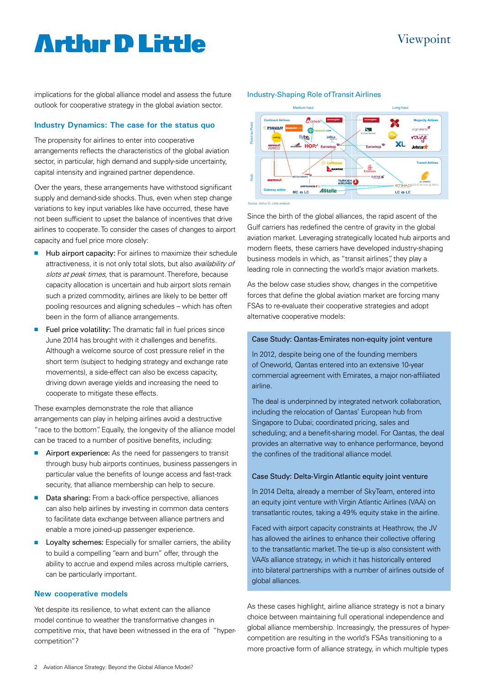### Viewpoint

### **Arthur D Little**

implications for the global alliance model and assess the future outlook for cooperative strategy in the global aviation sector.

#### **Industry Dynamics: The case for the status quo**

The propensity for airlines to enter into cooperative arrangements reflects the characteristics of the global aviation sector, in particular, high demand and supply-side uncertainty, capital intensity and ingrained partner dependence.

Over the years, these arrangements have withstood significant supply and demand-side shocks. Thus, even when step change variations to key input variables like have occurred, these have not been sufficient to upset the balance of incentives that drive airlines to cooperate. To consider the cases of changes to airport capacity and fuel price more closely:

- Hub airport capacity: For airlines to maximize their schedule attractiveness, it is not only total slots, but also *availability of* slots at peak times, that is paramount. Therefore, because capacity allocation is uncertain and hub airport slots remain such a prized commodity, airlines are likely to be better off pooling resources and aligning schedules – which has often been in the form of alliance arrangements.
- Fuel price volatility: The dramatic fall in fuel prices since June 2014 has brought with it challenges and benefits. Although a welcome source of cost pressure relief in the short term (subject to hedging strategy and exchange rate movements), a side-effect can also be excess capacity, driving down average yields and increasing the need to cooperate to mitigate these effects.

These examples demonstrate the role that alliance arrangements can play in helping airlines avoid a destructive "race to the bottom". Equally, the longevity of the alliance model can be traced to a number of positive benefits, including:

- Airport experience: As the need for passengers to transit through busy hub airports continues, business passengers in particular value the benefits of lounge access and fast-track security, that alliance membership can help to secure.
- Data sharing: From a back-office perspective, alliances can also help airlines by investing in common data centers to facilitate data exchange between alliance partners and enable a more joined-up passenger experience.
- **E** Lovalty schemes: Especially for smaller carriers, the ability to build a compelling "earn and burn" offer, through the ability to accrue and expend miles across multiple carriers, can be particularly important.

#### **New cooperative models**

Yet despite its resilience, to what extent can the alliance model continue to weather the transformative changes in competitive mix, that have been witnessed in the era of "hypercompetition"?





Source: Arthur D. Little analysis

Since the birth of the global alliances, the rapid ascent of the Gulf carriers has redefined the centre of gravity in the global aviation market. Leveraging strategically located hub airports and modern fleets, these carriers have developed industry-shaping business models in which, as "transit airlines", they play a leading role in connecting the world's major aviation markets.

As the below case studies show, changes in the competitive forces that define the global aviation market are forcing many FSAs to re-evaluate their cooperative strategies and adopt alternative cooperative models:

#### Case Study: Qantas-Emirates non-equity joint venture

In 2012, despite being one of the founding members of Oneworld, Qantas entered into an extensive 10-year commercial agreement with Emirates, a major non-affiliated airline.

The deal is underpinned by integrated network collaboration, including the relocation of Qantas' European hub from Singapore to Dubai; coordinated pricing, sales and scheduling; and a benefit-sharing model. For Qantas, the deal provides an alternative way to enhance performance, beyond the confines of the traditional alliance model.

#### Case Study: Delta-Virgin Atlantic equity joint venture

In 2014 Delta, already a member of SkyTeam, entered into an equity joint venture with Virgin Atlantic Airlines (VAA) on transatlantic routes, taking a 49% equity stake in the airline.

Faced with airport capacity constraints at Heathrow, the JV has allowed the airlines to enhance their collective offering to the transatlantic market. The tie-up is also consistent with VAA's alliance strategy, in which it has historically entered into bilateral partnerships with a number of airlines outside of global alliances.

As these cases highlight, airline alliance strategy is not a binary choice between maintaining full operational independence and global alliance membership. Increasingly, the pressures of hypercompetition are resulting in the world's FSAs transitioning to a more proactive form of alliance strategy, in which multiple types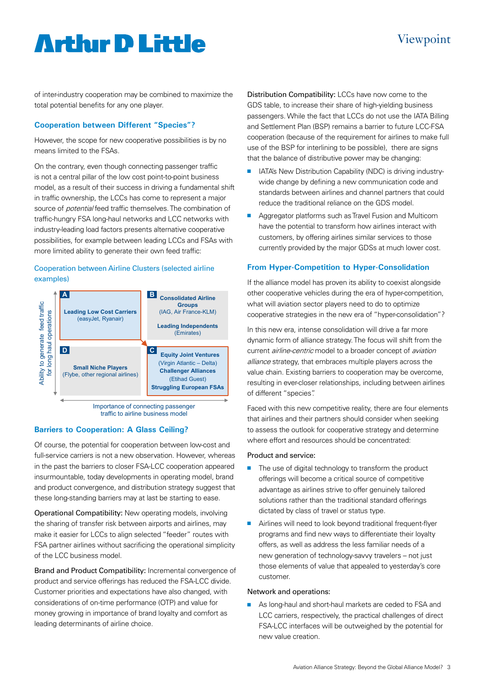## **Arthur D Little**

of inter-industry cooperation may be combined to maximize the total potential benefits for any one player.

#### **Cooperation between Different "Species"?**

However, the scope for new cooperative possibilities is by no means limited to the FSAs.

On the contrary, even though connecting passenger traffic is not a central pillar of the low cost point-to-point business model, as a result of their success in driving a fundamental shift in traffic ownership, the LCCs has come to represent a major source of *potential* feed traffic themselves. The combination of traffic-hungry FSA long-haul networks and LCC networks with industry-leading load factors presents alternative cooperative possibilities, for example between leading LCCs and FSAs with more limited ability to generate their own feed traffic:

#### Cooperation between Airline Clusters (selected airline examples)



traffic to airline business model

#### **Barriers to Cooperation: A Glass Ceiling?**

Of course, the potential for cooperation between low-cost and full-service carriers is not a new observation. However, whereas in the past the barriers to closer FSA-LCC cooperation appeared insurmountable, today developments in operating model, brand and product convergence, and distribution strategy suggest that these long-standing barriers may at last be starting to ease.

Operational Compatibility: New operating models, involving the sharing of transfer risk between airports and airlines, may make it easier for LCCs to align selected "feeder" routes with FSA partner airlines without sacrificing the operational simplicity of the LCC business model.

Brand and Product Compatibility: Incremental convergence of product and service offerings has reduced the FSA-LCC divide. Customer priorities and expectations have also changed, with considerations of on-time performance (OTP) and value for money growing in importance of brand loyalty and comfort as leading determinants of airline choice.

Distribution Compatibility: LCCs have now come to the GDS table, to increase their share of high-yielding business passengers. While the fact that LCCs do not use the IATA Billing and Settlement Plan (BSP) remains a barrier to future LCC-FSA cooperation (because of the requirement for airlines to make full use of the BSP for interlining to be possible), there are signs that the balance of distributive power may be changing:

- **n** IATA's New Distribution Capability (NDC) is driving industrywide change by defining a new communication code and standards between airlines and channel partners that could reduce the traditional reliance on the GDS model.
- **Aggregator platforms such as Travel Fusion and Multicom** have the potential to transform how airlines interact with customers, by offering airlines similar services to those currently provided by the major GDSs at much lower cost.

#### **From Hyper-Competition to Hyper-Consolidation**

If the alliance model has proven its ability to coexist alongside other cooperative vehicles during the era of hyper-competition, what will aviation sector players need to do to optimize cooperative strategies in the new era of "hyper-consolidation"?

In this new era, intense consolidation will drive a far more dynamic form of alliance strategy. The focus will shift from the current airline-centric model to a broader concept of aviation alliance strategy, that embraces multiple players across the value chain. Existing barriers to cooperation may be overcome, resulting in ever-closer relationships, including between airlines of different "species".

Faced with this new competitive reality, there are four elements that airlines and their partners should consider when seeking to assess the outlook for cooperative strategy and determine where effort and resources should be concentrated:

#### Product and service:

- $\blacksquare$  The use of digital technology to transform the product offerings will become a critical source of competitive advantage as airlines strive to offer genuinely tailored solutions rather than the traditional standard offerings dictated by class of travel or status type.
- Airlines will need to look beyond traditional frequent-flyer programs and find new ways to differentiate their loyalty offers, as well as address the less familiar needs of a new generation of technology-savvy travelers – not just those elements of value that appealed to yesterday's core customer.

#### Network and operations:

**n** As long-haul and short-haul markets are ceded to FSA and LCC carriers, respectively, the practical challenges of direct FSA-LCC interfaces will be outweighed by the potential for new value creation.